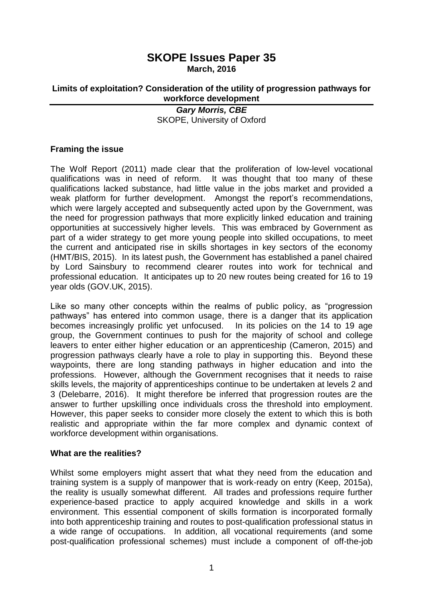# **SKOPE Issues Paper 35 March, 2016**

**Limits of exploitation? Consideration of the utility of progression pathways for workforce development**

# *Gary Morris, CBE* SKOPE, University of Oxford

# **Framing the issue**

The Wolf Report (2011) made clear that the proliferation of low-level vocational qualifications was in need of reform. It was thought that too many of these qualifications lacked substance, had little value in the jobs market and provided a weak platform for further development. Amongst the report's recommendations, which were largely accepted and subsequently acted upon by the Government, was the need for progression pathways that more explicitly linked education and training opportunities at successively higher levels. This was embraced by Government as part of a wider strategy to get more young people into skilled occupations, to meet the current and anticipated rise in skills shortages in key sectors of the economy (HMT/BIS, 2015). In its latest push, the Government has established a panel chaired by Lord Sainsbury to recommend clearer routes into work for technical and professional education. It anticipates up to 20 new routes being created for 16 to 19 year olds (GOV.UK, 2015).

Like so many other concepts within the realms of public policy, as "progression pathways" has entered into common usage, there is a danger that its application becomes increasingly prolific yet unfocused. In its policies on the 14 to 19 age group, the Government continues to push for the majority of school and college leavers to enter either higher education or an apprenticeship (Cameron, 2015) and progression pathways clearly have a role to play in supporting this. Beyond these waypoints, there are long standing pathways in higher education and into the professions. However, although the Government recognises that it needs to raise skills levels, the majority of apprenticeships continue to be undertaken at levels 2 and 3 (Delebarre, 2016). It might therefore be inferred that progression routes are the answer to further upskilling once individuals cross the threshold into employment. However, this paper seeks to consider more closely the extent to which this is both realistic and appropriate within the far more complex and dynamic context of workforce development within organisations.

# **What are the realities?**

Whilst some employers might assert that what they need from the education and training system is a supply of manpower that is work-ready on entry (Keep, 2015a), the reality is usually somewhat different. All trades and professions require further experience-based practice to apply acquired knowledge and skills in a work environment. This essential component of skills formation is incorporated formally into both apprenticeship training and routes to post-qualification professional status in a wide range of occupations. In addition, all vocational requirements (and some post-qualification professional schemes) must include a component of off-the-job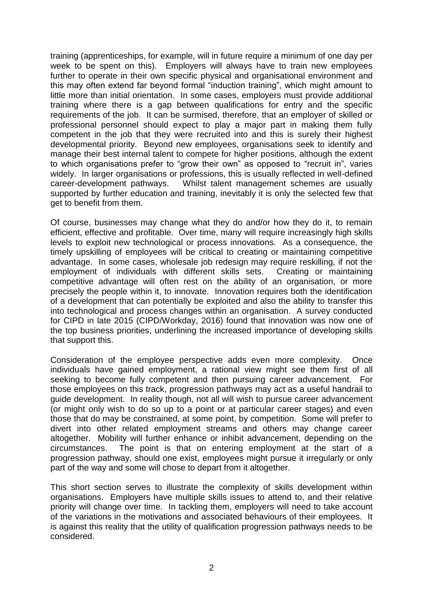training (apprenticeships, for example, will in future require a minimum of one day per week to be spent on this). Employers will always have to train new employees further to operate in their own specific physical and organisational environment and this may often extend far beyond formal "induction training", which might amount to little more than initial orientation. In some cases, employers must provide additional training where there is a gap between qualifications for entry and the specific requirements of the job. It can be surmised, therefore, that an employer of skilled or professional personnel should expect to play a major part in making them fully competent in the job that they were recruited into and this is surely their highest developmental priority. Beyond new employees, organisations seek to identify and manage their best internal talent to compete for higher positions, although the extent to which organisations prefer to "grow their own" as opposed to "recruit in", varies widely. In larger organisations or professions, this is usually reflected in well-defined career-development pathways. Whilst talent management schemes are usually supported by further education and training, inevitably it is only the selected few that get to benefit from them.

Of course, businesses may change what they do and/or how they do it, to remain efficient, effective and profitable. Over time, many will require increasingly high skills levels to exploit new technological or process innovations. As a consequence, the timely upskilling of employees will be critical to creating or maintaining competitive advantage. In some cases, wholesale job redesign may require reskilling, if not the employment of individuals with different skills sets. Creating or maintaining competitive advantage will often rest on the ability of an organisation, or more precisely the people within it, to innovate. Innovation requires both the identification of a development that can potentially be exploited and also the ability to transfer this into technological and process changes within an organisation. A survey conducted for CIPD in late 2015 (CIPD/Workday, 2016) found that innovation was now one of the top business priorities, underlining the increased importance of developing skills that support this.

Consideration of the employee perspective adds even more complexity. Once individuals have gained employment, a rational view might see them first of all seeking to become fully competent and then pursuing career advancement. For those employees on this track, progression pathways may act as a useful handrail to guide development. In reality though, not all will wish to pursue career advancement (or might only wish to do so up to a point or at particular career stages) and even those that do may be constrained, at some point, by competition. Some will prefer to divert into other related employment streams and others may change career altogether. Mobility will further enhance or inhibit advancement, depending on the circumstances. The point is that on entering employment at the start of a progression pathway, should one exist, employees might pursue it irregularly or only part of the way and some will chose to depart from it altogether.

This short section serves to illustrate the complexity of skills development within organisations. Employers have multiple skills issues to attend to, and their relative priority will change over time. In tackling them, employers will need to take account of the variations in the motivations and associated behaviours of their employees. It is against this reality that the utility of qualification progression pathways needs to be considered.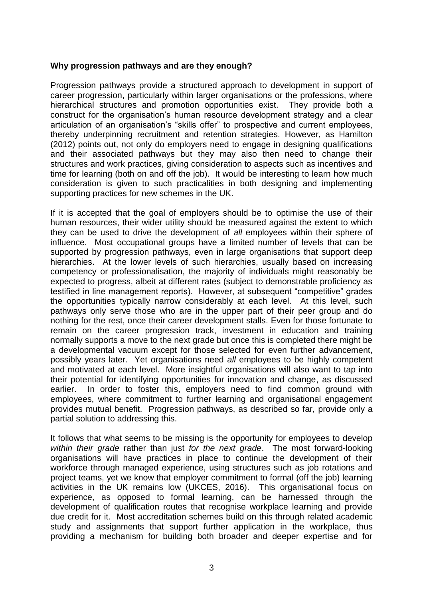#### **Why progression pathways and are they enough?**

Progression pathways provide a structured approach to development in support of career progression, particularly within larger organisations or the professions, where hierarchical structures and promotion opportunities exist. They provide both a construct for the organisation's human resource development strategy and a clear articulation of an organisation's "skills offer" to prospective and current employees, thereby underpinning recruitment and retention strategies. However, as Hamilton (2012) points out, not only do employers need to engage in designing qualifications and their associated pathways but they may also then need to change their structures and work practices, giving consideration to aspects such as incentives and time for learning (both on and off the job). It would be interesting to learn how much consideration is given to such practicalities in both designing and implementing supporting practices for new schemes in the UK.

If it is accepted that the goal of employers should be to optimise the use of their human resources, their wider utility should be measured against the extent to which they can be used to drive the development of *all* employees within their sphere of influence. Most occupational groups have a limited number of levels that can be supported by progression pathways, even in large organisations that support deep hierarchies. At the lower levels of such hierarchies, usually based on increasing competency or professionalisation, the majority of individuals might reasonably be expected to progress, albeit at different rates (subject to demonstrable proficiency as testified in line management reports). However, at subsequent "competitive" grades the opportunities typically narrow considerably at each level. At this level, such pathways only serve those who are in the upper part of their peer group and do nothing for the rest, once their career development stalls. Even for those fortunate to remain on the career progression track, investment in education and training normally supports a move to the next grade but once this is completed there might be a developmental vacuum except for those selected for even further advancement, possibly years later. Yet organisations need *all* employees to be highly competent and motivated at each level. More insightful organisations will also want to tap into their potential for identifying opportunities for innovation and change, as discussed earlier. In order to foster this, employers need to find common ground with employees, where commitment to further learning and organisational engagement provides mutual benefit. Progression pathways, as described so far, provide only a partial solution to addressing this.

It follows that what seems to be missing is the opportunity for employees to develop *within their grade* rather than just *for the next grade*. The most forward-looking organisations will have practices in place to continue the development of their workforce through managed experience, using structures such as job rotations and project teams, yet we know that employer commitment to formal (off the job) learning activities in the UK remains low (UKCES, 2016). This organisational focus on experience, as opposed to formal learning, can be harnessed through the development of qualification routes that recognise workplace learning and provide due credit for it. Most accreditation schemes build on this through related academic study and assignments that support further application in the workplace, thus providing a mechanism for building both broader and deeper expertise and for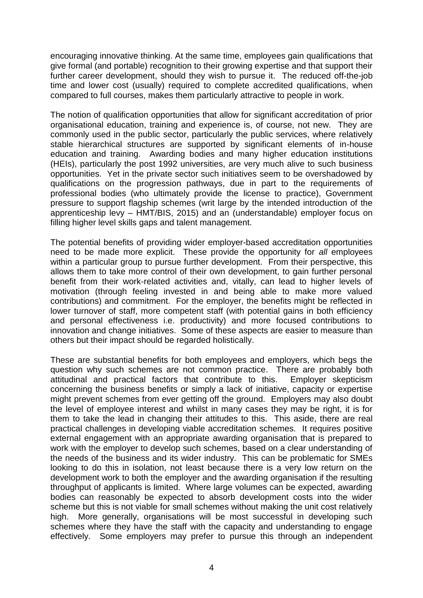encouraging innovative thinking. At the same time, employees gain qualifications that give formal (and portable) recognition to their growing expertise and that support their further career development, should they wish to pursue it. The reduced off-the-job time and lower cost (usually) required to complete accredited qualifications, when compared to full courses, makes them particularly attractive to people in work.

The notion of qualification opportunities that allow for significant accreditation of prior organisational education, training and experience is, of course, not new. They are commonly used in the public sector, particularly the public services, where relatively stable hierarchical structures are supported by significant elements of in-house education and training. Awarding bodies and many higher education institutions (HEIs), particularly the post 1992 universities, are very much alive to such business opportunities. Yet in the private sector such initiatives seem to be overshadowed by qualifications on the progression pathways, due in part to the requirements of professional bodies (who ultimately provide the license to practice), Government pressure to support flagship schemes (writ large by the intended introduction of the apprenticeship levy – HMT/BIS, 2015) and an (understandable) employer focus on filling higher level skills gaps and talent management.

The potential benefits of providing wider employer-based accreditation opportunities need to be made more explicit. These provide the opportunity for *all* employees within a particular group to pursue further development. From their perspective, this allows them to take more control of their own development, to gain further personal benefit from their work-related activities and, vitally, can lead to higher levels of motivation (through feeling invested in and being able to make more valued contributions) and commitment. For the employer, the benefits might be reflected in lower turnover of staff, more competent staff (with potential gains in both efficiency and personal effectiveness i.e. productivity) and more focused contributions to innovation and change initiatives. Some of these aspects are easier to measure than others but their impact should be regarded holistically.

These are substantial benefits for both employees and employers, which begs the question why such schemes are not common practice. There are probably both attitudinal and practical factors that contribute to this. Employer skepticism concerning the business benefits or simply a lack of initiative, capacity or expertise might prevent schemes from ever getting off the ground. Employers may also doubt the level of employee interest and whilst in many cases they may be right, it is for them to take the lead in changing their attitudes to this. This aside, there are real practical challenges in developing viable accreditation schemes. It requires positive external engagement with an appropriate awarding organisation that is prepared to work with the employer to develop such schemes, based on a clear understanding of the needs of the business and its wider industry. This can be problematic for SMEs looking to do this in isolation, not least because there is a very low return on the development work to both the employer and the awarding organisation if the resulting throughput of applicants is limited. Where large volumes can be expected, awarding bodies can reasonably be expected to absorb development costs into the wider scheme but this is not viable for small schemes without making the unit cost relatively high. More generally, organisations will be most successful in developing such schemes where they have the staff with the capacity and understanding to engage effectively. Some employers may prefer to pursue this through an independent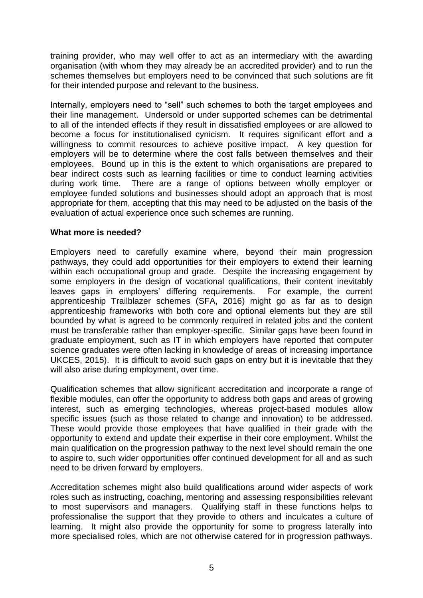training provider, who may well offer to act as an intermediary with the awarding organisation (with whom they may already be an accredited provider) and to run the schemes themselves but employers need to be convinced that such solutions are fit for their intended purpose and relevant to the business.

Internally, employers need to "sell" such schemes to both the target employees and their line management. Undersold or under supported schemes can be detrimental to all of the intended effects if they result in dissatisfied employees or are allowed to become a focus for institutionalised cynicism. It requires significant effort and a willingness to commit resources to achieve positive impact. A key question for employers will be to determine where the cost falls between themselves and their employees. Bound up in this is the extent to which organisations are prepared to bear indirect costs such as learning facilities or time to conduct learning activities during work time. There are a range of options between wholly employer or employee funded solutions and businesses should adopt an approach that is most appropriate for them, accepting that this may need to be adjusted on the basis of the evaluation of actual experience once such schemes are running.

# **What more is needed?**

Employers need to carefully examine where, beyond their main progression pathways, they could add opportunities for their employers to extend their learning within each occupational group and grade. Despite the increasing engagement by some employers in the design of vocational qualifications, their content inevitably leaves gaps in employers' differing requirements. For example, the current apprenticeship Trailblazer schemes (SFA, 2016) might go as far as to design apprenticeship frameworks with both core and optional elements but they are still bounded by what is agreed to be commonly required in related jobs and the content must be transferable rather than employer-specific. Similar gaps have been found in graduate employment, such as IT in which employers have reported that computer science graduates were often lacking in knowledge of areas of increasing importance UKCES, 2015). It is difficult to avoid such gaps on entry but it is inevitable that they will also arise during employment, over time.

Qualification schemes that allow significant accreditation and incorporate a range of flexible modules, can offer the opportunity to address both gaps and areas of growing interest, such as emerging technologies, whereas project-based modules allow specific issues (such as those related to change and innovation) to be addressed. These would provide those employees that have qualified in their grade with the opportunity to extend and update their expertise in their core employment. Whilst the main qualification on the progression pathway to the next level should remain the one to aspire to, such wider opportunities offer continued development for all and as such need to be driven forward by employers.

Accreditation schemes might also build qualifications around wider aspects of work roles such as instructing, coaching, mentoring and assessing responsibilities relevant to most supervisors and managers. Qualifying staff in these functions helps to professionalise the support that they provide to others and inculcates a culture of learning. It might also provide the opportunity for some to progress laterally into more specialised roles, which are not otherwise catered for in progression pathways.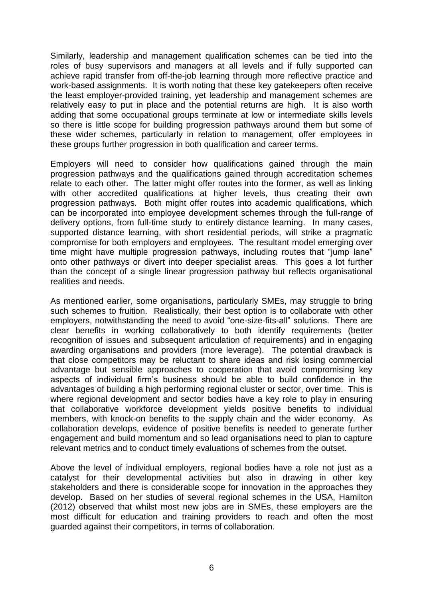Similarly, leadership and management qualification schemes can be tied into the roles of busy supervisors and managers at all levels and if fully supported can achieve rapid transfer from off-the-job learning through more reflective practice and work-based assignments. It is worth noting that these key gatekeepers often receive the least employer-provided training, yet leadership and management schemes are relatively easy to put in place and the potential returns are high. It is also worth adding that some occupational groups terminate at low or intermediate skills levels so there is little scope for building progression pathways around them but some of these wider schemes, particularly in relation to management, offer employees in these groups further progression in both qualification and career terms.

Employers will need to consider how qualifications gained through the main progression pathways and the qualifications gained through accreditation schemes relate to each other. The latter might offer routes into the former, as well as linking with other accredited qualifications at higher levels, thus creating their own progression pathways. Both might offer routes into academic qualifications, which can be incorporated into employee development schemes through the full-range of delivery options, from full-time study to entirely distance learning. In many cases, supported distance learning, with short residential periods, will strike a pragmatic compromise for both employers and employees. The resultant model emerging over time might have multiple progression pathways, including routes that "jump lane" onto other pathways or divert into deeper specialist areas. This goes a lot further than the concept of a single linear progression pathway but reflects organisational realities and needs.

As mentioned earlier, some organisations, particularly SMEs, may struggle to bring such schemes to fruition. Realistically, their best option is to collaborate with other employers, notwithstanding the need to avoid "one-size-fits-all" solutions. There are clear benefits in working collaboratively to both identify requirements (better recognition of issues and subsequent articulation of requirements) and in engaging awarding organisations and providers (more leverage). The potential drawback is that close competitors may be reluctant to share ideas and risk losing commercial advantage but sensible approaches to cooperation that avoid compromising key aspects of individual firm's business should be able to build confidence in the advantages of building a high performing regional cluster or sector, over time. This is where regional development and sector bodies have a key role to play in ensuring that collaborative workforce development yields positive benefits to individual members, with knock-on benefits to the supply chain and the wider economy. As collaboration develops, evidence of positive benefits is needed to generate further engagement and build momentum and so lead organisations need to plan to capture relevant metrics and to conduct timely evaluations of schemes from the outset.

Above the level of individual employers, regional bodies have a role not just as a catalyst for their developmental activities but also in drawing in other key stakeholders and there is considerable scope for innovation in the approaches they develop. Based on her studies of several regional schemes in the USA, Hamilton (2012) observed that whilst most new jobs are in SMEs, these employers are the most difficult for education and training providers to reach and often the most guarded against their competitors, in terms of collaboration.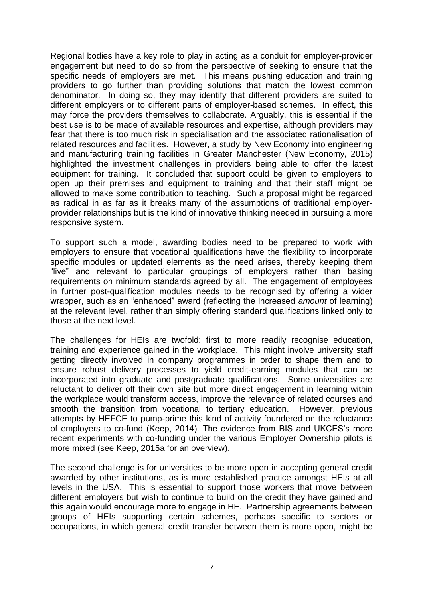Regional bodies have a key role to play in acting as a conduit for employer-provider engagement but need to do so from the perspective of seeking to ensure that the specific needs of employers are met. This means pushing education and training providers to go further than providing solutions that match the lowest common denominator. In doing so, they may identify that different providers are suited to different employers or to different parts of employer-based schemes. In effect, this may force the providers themselves to collaborate. Arguably, this is essential if the best use is to be made of available resources and expertise, although providers may fear that there is too much risk in specialisation and the associated rationalisation of related resources and facilities. However, a study by New Economy into engineering and manufacturing training facilities in Greater Manchester (New Economy, 2015) highlighted the investment challenges in providers being able to offer the latest equipment for training. It concluded that support could be given to employers to open up their premises and equipment to training and that their staff might be allowed to make some contribution to teaching. Such a proposal might be regarded as radical in as far as it breaks many of the assumptions of traditional employerprovider relationships but is the kind of innovative thinking needed in pursuing a more responsive system.

To support such a model, awarding bodies need to be prepared to work with employers to ensure that vocational qualifications have the flexibility to incorporate specific modules or updated elements as the need arises, thereby keeping them "live" and relevant to particular groupings of employers rather than basing requirements on minimum standards agreed by all. The engagement of employees in further post-qualification modules needs to be recognised by offering a wider wrapper, such as an "enhanced" award (reflecting the increased *amount* of learning) at the relevant level, rather than simply offering standard qualifications linked only to those at the next level.

The challenges for HEIs are twofold: first to more readily recognise education, training and experience gained in the workplace. This might involve university staff getting directly involved in company programmes in order to shape them and to ensure robust delivery processes to yield credit-earning modules that can be incorporated into graduate and postgraduate qualifications. Some universities are reluctant to deliver off their own site but more direct engagement in learning within the workplace would transform access, improve the relevance of related courses and smooth the transition from vocational to tertiary education. However, previous attempts by HEFCE to pump-prime this kind of activity foundered on the reluctance of employers to co-fund (Keep, 2014). The evidence from BIS and UKCES's more recent experiments with co-funding under the various Employer Ownership pilots is more mixed (see Keep, 2015a for an overview).

The second challenge is for universities to be more open in accepting general credit awarded by other institutions, as is more established practice amongst HEIs at all levels in the USA. This is essential to support those workers that move between different employers but wish to continue to build on the credit they have gained and this again would encourage more to engage in HE. Partnership agreements between groups of HEIs supporting certain schemes, perhaps specific to sectors or occupations, in which general credit transfer between them is more open, might be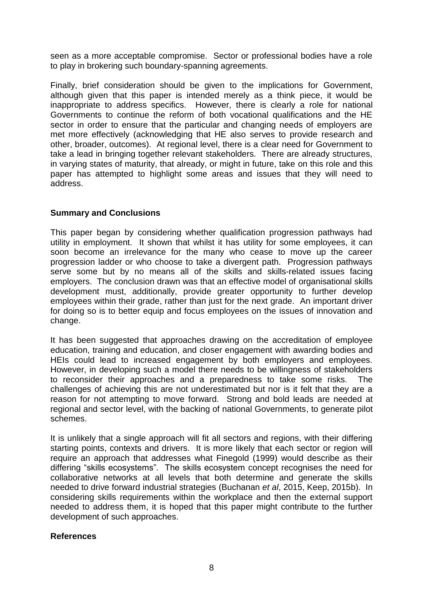seen as a more acceptable compromise. Sector or professional bodies have a role to play in brokering such boundary-spanning agreements.

Finally, brief consideration should be given to the implications for Government, although given that this paper is intended merely as a think piece, it would be inappropriate to address specifics. However, there is clearly a role for national Governments to continue the reform of both vocational qualifications and the HE sector in order to ensure that the particular and changing needs of employers are met more effectively (acknowledging that HE also serves to provide research and other, broader, outcomes). At regional level, there is a clear need for Government to take a lead in bringing together relevant stakeholders. There are already structures, in varying states of maturity, that already, or might in future, take on this role and this paper has attempted to highlight some areas and issues that they will need to address.

# **Summary and Conclusions**

This paper began by considering whether qualification progression pathways had utility in employment. It shown that whilst it has utility for some employees, it can soon become an irrelevance for the many who cease to move up the career progression ladder or who choose to take a divergent path. Progression pathways serve some but by no means all of the skills and skills-related issues facing employers. The conclusion drawn was that an effective model of organisational skills development must, additionally, provide greater opportunity to further develop employees within their grade, rather than just for the next grade. An important driver for doing so is to better equip and focus employees on the issues of innovation and change.

It has been suggested that approaches drawing on the accreditation of employee education, training and education, and closer engagement with awarding bodies and HEIs could lead to increased engagement by both employers and employees. However, in developing such a model there needs to be willingness of stakeholders to reconsider their approaches and a preparedness to take some risks. The challenges of achieving this are not underestimated but nor is it felt that they are a reason for not attempting to move forward. Strong and bold leads are needed at regional and sector level, with the backing of national Governments, to generate pilot schemes.

It is unlikely that a single approach will fit all sectors and regions, with their differing starting points, contexts and drivers. It is more likely that each sector or region will require an approach that addresses what Finegold (1999) would describe as their differing "skills ecosystems". The skills ecosystem concept recognises the need for collaborative networks at all levels that both determine and generate the skills needed to drive forward industrial strategies (Buchanan *et al*, 2015, Keep, 2015b). In considering skills requirements within the workplace and then the external support needed to address them, it is hoped that this paper might contribute to the further development of such approaches.

# **References**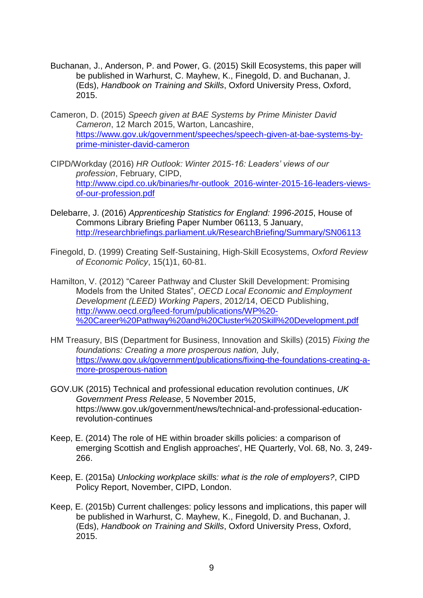- Buchanan, J., Anderson, P. and Power, G. (2015) Skill Ecosystems, this paper will be published in Warhurst, C. Mayhew, K., Finegold, D. and Buchanan, J. (Eds), *Handbook on Training and Skills*, Oxford University Press, Oxford, 2015.
- Cameron, D. (2015) *Speech given at BAE Systems by Prime Minister David Cameron*, 12 March 2015, Warton, Lancashire, [https://www.gov.uk/government/speeches/speech-given-at-bae-systems-by](https://www.gov.uk/government/speeches/speech-given-at-bae-systems-by-prime-minister-david-cameron)[prime-minister-david-cameron](https://www.gov.uk/government/speeches/speech-given-at-bae-systems-by-prime-minister-david-cameron)
- CIPD/Workday (2016) *HR Outlook: Winter 2015-16: Leaders' views of our profession*, February, CIPD, [http://www.cipd.co.uk/binaries/hr-outlook\\_2016-winter-2015-16-leaders-views](http://www.cipd.co.uk/binaries/hr-outlook_2016-winter-2015-16-leaders-views-of-our-profession.pdf)[of-our-profession.pdf](http://www.cipd.co.uk/binaries/hr-outlook_2016-winter-2015-16-leaders-views-of-our-profession.pdf)
- Delebarre, J. (2016) *Apprenticeship Statistics for England: 1996-2015*, House of Commons Library Briefing Paper Number 06113, 5 January, <http://researchbriefings.parliament.uk/ResearchBriefing/Summary/SN06113>
- Finegold, D. (1999) Creating Self-Sustaining, High-Skill Ecosystems, *Oxford Review of Economic Policy*, 15(1)1, 60-81.
- Hamilton, V. (2012) "Career Pathway and Cluster Skill Development: Promising Models from the United States", *OECD Local Economic and Employment Development (LEED) Working Papers*, 2012/14, OECD Publishing, [http://www.oecd.org/leed-forum/publications/WP%20-](http://www.oecd.org/leed-forum/publications/WP%20-%20Career%20Pathway%20and%20Cluster%20Skill%20Development.pdf) [%20Career%20Pathway%20and%20Cluster%20Skill%20Development.pdf](http://www.oecd.org/leed-forum/publications/WP%20-%20Career%20Pathway%20and%20Cluster%20Skill%20Development.pdf)
- HM Treasury, BIS (Department for Business, Innovation and Skills) (2015) *Fixing the foundations: Creating a more prosperous nation,* July, [https://www.gov.uk/government/publications/fixing-the-foundations-creating-a](https://www.gov.uk/government/publications/fixing-the-foundations-creating-a-more-prosperous-nation)[more-prosperous-nation](https://www.gov.uk/government/publications/fixing-the-foundations-creating-a-more-prosperous-nation)
- GOV.UK (2015) Technical and professional education revolution continues, *UK Government Press Release*, 5 November 2015, https://www.gov.uk/government/news/technical-and-professional-educationrevolution-continues
- Keep, E. (2014) The role of HE within broader skills policies: a comparison of emerging Scottish and English approaches', HE Quarterly, Vol. 68, No. 3, 249- 266.
- Keep, E. (2015a) *Unlocking workplace skills: what is the role of employers?*, CIPD Policy Report, November, CIPD, London.
- Keep, E. (2015b) Current challenges: policy lessons and implications, this paper will be published in Warhurst, C. Mayhew, K., Finegold, D. and Buchanan, J. (Eds), *Handbook on Training and Skills*, Oxford University Press, Oxford, 2015.